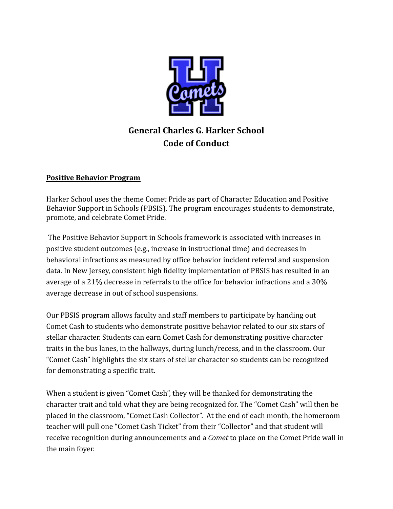

# **General Charles G. Harker School Code of Conduct**

#### **Positive Behavior Program**

Harker School uses the theme Comet Pride as part of Character Education and Positive Behavior Support in Schools (PBSIS). The program encourages students to demonstrate, promote, and celebrate Comet Pride.

The Positive Behavior Support in Schools framework is associated with increases in positive student outcomes (e.g., increase in instructional time) and decreases in behavioral infractions as measured by office behavior incident referral and suspension data. In New Jersey, consistent high fidelity implementation of PBSIS has resulted in an average of a 21% decrease in referrals to the office for behavior infractions and a 30% average decrease in out of school suspensions.

Our PBSIS program allows faculty and staff members to participate by handing out Comet Cash to students who demonstrate positive behavior related to our six stars of stellar character. Students can earn Comet Cash for demonstrating positive character traits in the bus lanes, in the hallways, during lunch/recess, and in the classroom. Our "Comet Cash" highlights the six stars of stellar character so students can be recognized for demonstrating a specific trait.

When a student is given "Comet Cash", they will be thanked for demonstrating the character trait and told what they are being recognized for. The "Comet Cash" will then be placed in the classroom, "Comet Cash Collector". At the end of each month, the homeroom teacher will pull one "Comet Cash Ticket" from their "Collector" and that student will receive recognition during announcements and a *Comet* to place on the Comet Pride wall in the main foyer.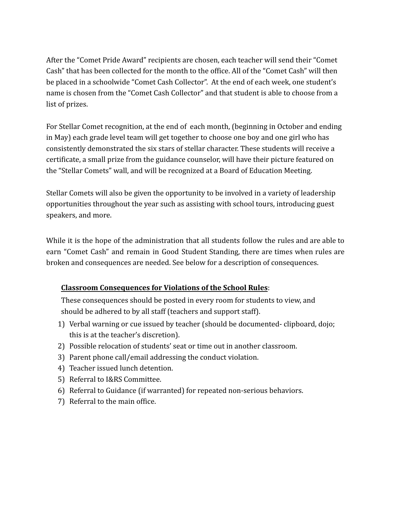After the "Comet Pride Award" recipients are chosen, each teacher will send their "Comet Cash" that has been collected for the month to the office. All of the "Comet Cash" will then be placed in a schoolwide "Comet Cash Collector". At the end of each week, one student's name is chosen from the "Comet Cash Collector" and that student is able to choose from a list of prizes.

For Stellar Comet recognition, at the end of each month, (beginning in October and ending in May) each grade level team will get together to choose one boy and one girl who has consistently demonstrated the six stars of stellar character. These students will receive a certificate, a small prize from the guidance counselor, will have their picture featured on the "Stellar Comets" wall, and will be recognized at a Board of Education Meeting.

Stellar Comets will also be given the opportunity to be involved in a variety of leadership opportunities throughout the year such as assisting with school tours, introducing guest speakers, and more.

While it is the hope of the administration that all students follow the rules and are able to earn "Comet Cash" and remain in Good Student Standing, there are times when rules are broken and consequences are needed. See below for a description of consequences.

### **Classroom Consequences for Violations of the School Rules**:

These consequences should be posted in every room for students to view, and should be adhered to by all staff (teachers and support staff).

- 1) Verbal warning or cue issued by teacher (should be documented- clipboard, dojo; this is at the teacher's discretion).
- 2) Possible relocation of students' seat or time out in another classroom.
- 3) Parent phone call/email addressing the conduct violation.
- 4) Teacher issued lunch detention.
- 5) Referral to I&RS Committee.
- 6) Referral to Guidance (if warranted) for repeated non-serious behaviors.
- 7) Referral to the main office.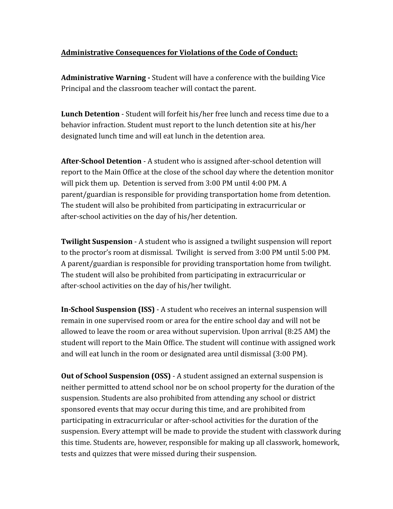#### **Administrative Consequences for Violations of the Code of Conduct:**

**Administrative Warning -** Student will have a conference with the building Vice Principal and the classroom teacher will contact the parent.

**Lunch Detention** - Student will forfeit his/her free lunch and recess time due to a behavior infraction. Student must report to the lunch detention site at his/her designated lunch time and will eat lunch in the detention area.

**After-School Detention** - A student who is assigned after-school detention will report to the Main Office at the close of the school day where the detention monitor will pick them up. Detention is served from 3:00 PM until 4:00 PM. A parent/guardian is responsible for providing transportation home from detention. The student will also be prohibited from participating in extracurricular or after-school activities on the day of his/her detention.

**Twilight Suspension** - A student who is assigned a twilight suspension will report to the proctor's room at dismissal. Twilight is served from 3:00 PM until 5:00 PM. A parent/guardian is responsible for providing transportation home from twilight. The student will also be prohibited from participating in extracurricular or after-school activities on the day of his/her twilight.

**In-School Suspension (ISS)** - A student who receives an internal suspension will remain in one supervised room or area for the entire school day and will not be allowed to leave the room or area without supervision. Upon arrival (8:25 AM) the student will report to the Main Office. The student will continue with assigned work and will eat lunch in the room or designated area until dismissal (3:00 PM).

**Out of School Suspension (OSS)** - A student assigned an external suspension is neither permitted to attend school nor be on school property for the duration of the suspension. Students are also prohibited from attending any school or district sponsored events that may occur during this time, and are prohibited from participating in extracurricular or after-school activities for the duration of the suspension. Every attempt will be made to provide the student with classwork during this time. Students are, however, responsible for making up all classwork, homework, tests and quizzes that were missed during their suspension.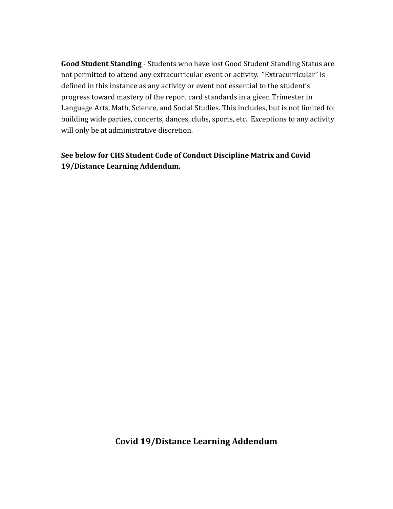**Good Student Standing** - Students who have lost Good Student Standing Status are not permitted to attend any extracurricular event or activity. "Extracurricular" is defined in this instance as any activity or event not essential to the student's progress toward mastery of the report card standards in a given Trimester in Language Arts, Math, Science, and Social Studies. This includes, but is not limited to: building wide parties, concerts, dances, clubs, sports, etc. Exceptions to any activity will only be at administrative discretion.

### **See below for CHS Student Code of Conduct Discipline Matrix and Covid 19/Distance Learning Addendum.**

### **Covid 19/Distance Learning Addendum**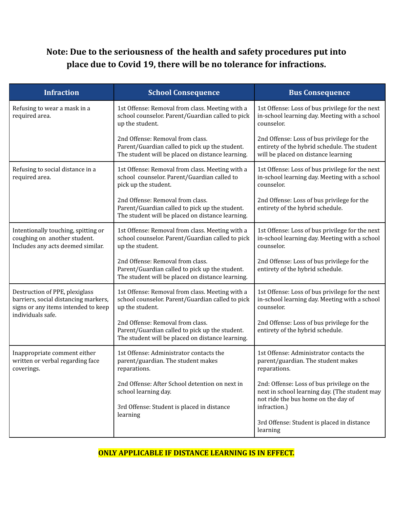# **Note: Due to the seriousness of the health and safety procedures put into place due to Covid 19, there will be no tolerance for infractions.**

| <b>Infraction</b>                                                                                                                  | <b>School Consequence</b>                                                                                                              | <b>Bus Consequence</b>                                                                                                             |
|------------------------------------------------------------------------------------------------------------------------------------|----------------------------------------------------------------------------------------------------------------------------------------|------------------------------------------------------------------------------------------------------------------------------------|
| Refusing to wear a mask in a<br>required area.                                                                                     | 1st Offense: Removal from class. Meeting with a<br>school counselor. Parent/Guardian called to pick<br>up the student.                 | 1st Offense: Loss of bus privilege for the next<br>in-school learning day. Meeting with a school<br>counselor.                     |
|                                                                                                                                    | 2nd Offense: Removal from class.<br>Parent/Guardian called to pick up the student.<br>The student will be placed on distance learning. | 2nd Offense: Loss of bus privilege for the<br>entirety of the hybrid schedule. The student<br>will be placed on distance learning  |
| Refusing to social distance in a<br>required area.                                                                                 | 1st Offense: Removal from class. Meeting with a<br>school counselor. Parent/Guardian called to<br>pick up the student.                 | 1st Offense: Loss of bus privilege for the next<br>in-school learning day. Meeting with a school<br>counselor.                     |
|                                                                                                                                    | 2nd Offense: Removal from class.<br>Parent/Guardian called to pick up the student.<br>The student will be placed on distance learning. | 2nd Offense: Loss of bus privilege for the<br>entirety of the hybrid schedule.                                                     |
| Intentionally touching, spitting or<br>coughing on another student.<br>Includes any acts deemed similar.                           | 1st Offense: Removal from class. Meeting with a<br>school counselor. Parent/Guardian called to pick<br>up the student.                 | 1st Offense: Loss of bus privilege for the next<br>in-school learning day. Meeting with a school<br>counselor.                     |
|                                                                                                                                    | 2nd Offense: Removal from class.<br>Parent/Guardian called to pick up the student.<br>The student will be placed on distance learning. | 2nd Offense: Loss of bus privilege for the<br>entirety of the hybrid schedule.                                                     |
| Destruction of PPE, plexiglass<br>barriers, social distancing markers,<br>signs or any items intended to keep<br>individuals safe. | 1st Offense: Removal from class. Meeting with a<br>school counselor. Parent/Guardian called to pick<br>up the student.                 | 1st Offense: Loss of bus privilege for the next<br>in-school learning day. Meeting with a school<br>counselor.                     |
|                                                                                                                                    | 2nd Offense: Removal from class.<br>Parent/Guardian called to pick up the student.<br>The student will be placed on distance learning. | 2nd Offense: Loss of bus privilege for the<br>entirety of the hybrid schedule.                                                     |
| Inappropriate comment either<br>written or verbal regarding face<br>coverings.                                                     | 1st Offense: Administrator contacts the<br>parent/guardian. The student makes<br>reparations.                                          | 1st Offense: Administrator contacts the<br>parent/guardian. The student makes<br>reparations.                                      |
|                                                                                                                                    | 2nd Offense: After School detention on next in<br>school learning day.                                                                 | 2nd: Offense: Loss of bus privilege on the<br>next in school learning day. (The student may<br>not ride the bus home on the day of |
|                                                                                                                                    | 3rd Offense: Student is placed in distance<br>learning                                                                                 | infraction.)<br>3rd Offense: Student is placed in distance<br>learning                                                             |

### **ONLY APPLICABLE IF DISTANCE LEARNING IS IN EFFECT.**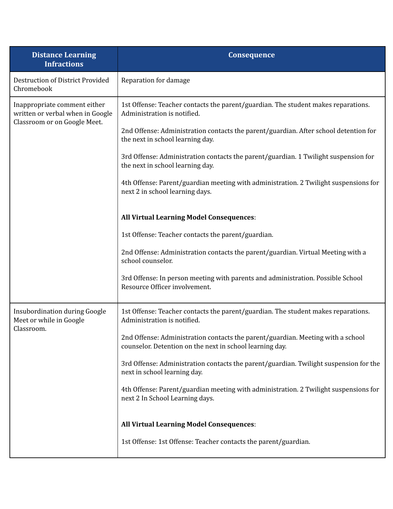| <b>Distance Learning</b><br><b>Infractions</b>                                                   | Consequence                                                                                                                                 |  |  |
|--------------------------------------------------------------------------------------------------|---------------------------------------------------------------------------------------------------------------------------------------------|--|--|
| <b>Destruction of District Provided</b><br>Chromebook                                            | Reparation for damage                                                                                                                       |  |  |
| Inappropriate comment either<br>written or verbal when in Google<br>Classroom or on Google Meet. | 1st Offense: Teacher contacts the parent/guardian. The student makes reparations.<br>Administration is notified.                            |  |  |
|                                                                                                  | 2nd Offense: Administration contacts the parent/guardian. After school detention for<br>the next in school learning day.                    |  |  |
|                                                                                                  | 3rd Offense: Administration contacts the parent/guardian. 1 Twilight suspension for<br>the next in school learning day.                     |  |  |
|                                                                                                  | 4th Offense: Parent/guardian meeting with administration. 2 Twilight suspensions for<br>next 2 in school learning days.                     |  |  |
|                                                                                                  | <b>All Virtual Learning Model Consequences:</b>                                                                                             |  |  |
|                                                                                                  | 1st Offense: Teacher contacts the parent/guardian.                                                                                          |  |  |
|                                                                                                  | 2nd Offense: Administration contacts the parent/guardian. Virtual Meeting with a<br>school counselor.                                       |  |  |
|                                                                                                  | 3rd Offense: In person meeting with parents and administration. Possible School<br>Resource Officer involvement.                            |  |  |
| <b>Insubordination during Google</b><br>Meet or while in Google                                  | 1st Offense: Teacher contacts the parent/guardian. The student makes reparations.<br>Administration is notified.                            |  |  |
| Classroom.                                                                                       | 2nd Offense: Administration contacts the parent/guardian. Meeting with a school<br>counselor. Detention on the next in school learning day. |  |  |
|                                                                                                  | 3rd Offense: Administration contacts the parent/guardian. Twilight suspension for the<br>next in school learning day.                       |  |  |
|                                                                                                  | 4th Offense: Parent/guardian meeting with administration. 2 Twilight suspensions for<br>next 2 In School Learning days.                     |  |  |
|                                                                                                  | <b>All Virtual Learning Model Consequences:</b>                                                                                             |  |  |
|                                                                                                  | 1st Offense: 1st Offense: Teacher contacts the parent/guardian.                                                                             |  |  |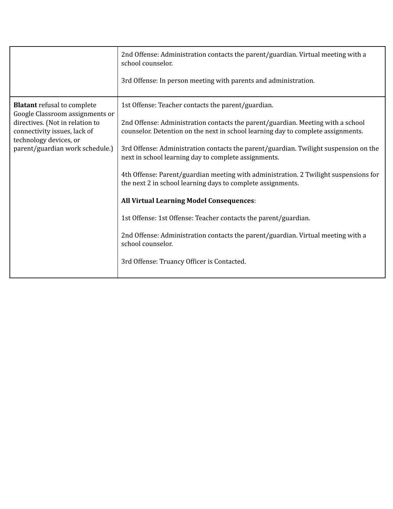|                                                                                                                                                                                                       | 2nd Offense: Administration contacts the parent/guardian. Virtual meeting with a<br>school counselor.<br>3rd Offense: In person meeting with parents and administration.                                                                                                                                                                                                                                                                                                                                                                                                                                                                                                                                                                                                                                      |
|-------------------------------------------------------------------------------------------------------------------------------------------------------------------------------------------------------|---------------------------------------------------------------------------------------------------------------------------------------------------------------------------------------------------------------------------------------------------------------------------------------------------------------------------------------------------------------------------------------------------------------------------------------------------------------------------------------------------------------------------------------------------------------------------------------------------------------------------------------------------------------------------------------------------------------------------------------------------------------------------------------------------------------|
| <b>Blatant</b> refusal to complete<br>Google Classroom assignments or<br>directives. (Not in relation to<br>connectivity issues, lack of<br>technology devices, or<br>parent/guardian work schedule.) | 1st Offense: Teacher contacts the parent/guardian.<br>2nd Offense: Administration contacts the parent/guardian. Meeting with a school<br>counselor. Detention on the next in school learning day to complete assignments.<br>3rd Offense: Administration contacts the parent/guardian. Twilight suspension on the<br>next in school learning day to complete assignments.<br>4th Offense: Parent/guardian meeting with administration. 2 Twilight suspensions for<br>the next 2 in school learning days to complete assignments.<br><b>All Virtual Learning Model Consequences:</b><br>1st Offense: 1st Offense: Teacher contacts the parent/guardian.<br>2nd Offense: Administration contacts the parent/guardian. Virtual meeting with a<br>school counselor.<br>3rd Offense: Truancy Officer is Contacted. |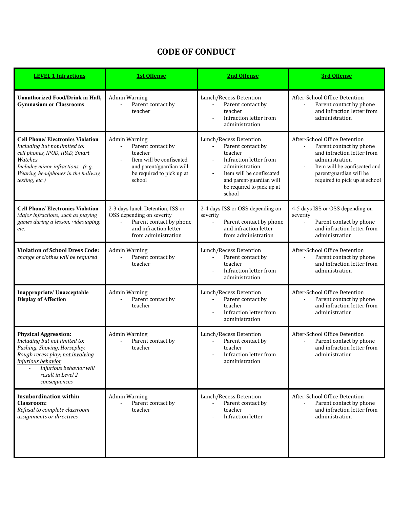# **CODE OF CONDUCT**

| <b>LEVEL 1 Infractions</b>                                                                                                                                                                                                    | <b>1st Offense</b>                                                                                                                                  | 2nd Offense                                                                                                                                                                                                         | <b>3rd Offense</b>                                                                                                                                                                                   |
|-------------------------------------------------------------------------------------------------------------------------------------------------------------------------------------------------------------------------------|-----------------------------------------------------------------------------------------------------------------------------------------------------|---------------------------------------------------------------------------------------------------------------------------------------------------------------------------------------------------------------------|------------------------------------------------------------------------------------------------------------------------------------------------------------------------------------------------------|
| <b>Unauthorized Food/Drink in Hall,</b><br><b>Gymnasium or Classrooms</b>                                                                                                                                                     | <b>Admin Warning</b><br>Parent contact by<br>teacher                                                                                                | Lunch/Recess Detention<br>Parent contact by<br>teacher<br>Infraction letter from<br>$\overline{\phantom{a}}$<br>administration                                                                                      | After-School Office Detention<br>Parent contact by phone<br>and infraction letter from<br>administration                                                                                             |
| <b>Cell Phone/ Electronics Violation</b><br>Including but not limited to:<br>cell phones, IPOD, IPAD, Smart<br>Watches<br>Includes minor infractions, (e.g.<br>Wearing headphones in the hallway,<br>texting, etc.)           | <b>Admin Warning</b><br>Parent contact by<br>teacher<br>Item will be confiscated<br>and parent/guardian will<br>be required to pick up at<br>school | Lunch/Recess Detention<br>Parent contact by<br>$\blacksquare$<br>teacher<br>Infraction letter from<br>administration<br>Item will be confiscated<br>and parent/guardian will<br>be required to pick up at<br>school | After-School Office Detention<br>Parent contact by phone<br>and infraction letter from<br>administration<br>Item will be confiscated and<br>parent/guardian will be<br>required to pick up at school |
| <b>Cell Phone/ Electronics Violation</b><br>Major infractions, such as playing<br>games during a lesson, videotaping,<br>etc.                                                                                                 | 2-3 days lunch Detention, ISS or<br>OSS depending on severity<br>Parent contact by phone<br>and infraction letter<br>from administration            | 2-4 days ISS or OSS depending on<br>severity<br>Parent contact by phone<br>and infraction letter<br>from administration                                                                                             | 4-5 days ISS or OSS depending on<br>severity<br>Parent contact by phone<br>and infraction letter from<br>administration                                                                              |
| <b>Violation of School Dress Code:</b><br>change of clothes will be required                                                                                                                                                  | <b>Admin Warning</b><br>Parent contact by<br>teacher                                                                                                | Lunch/Recess Detention<br>Parent contact by<br>$\blacksquare$<br>teacher<br>Infraction letter from<br>administration                                                                                                | After-School Office Detention<br>Parent contact by phone<br>$\overline{\phantom{a}}$<br>and infraction letter from<br>administration                                                                 |
| Inappropriate/ Unacceptable<br><b>Display of Affection</b>                                                                                                                                                                    | <b>Admin Warning</b><br>Parent contact by<br>teacher                                                                                                | Lunch/Recess Detention<br>Parent contact by<br>teacher<br>Infraction letter from<br>administration                                                                                                                  | After-School Office Detention<br>Parent contact by phone<br>and infraction letter from<br>administration                                                                                             |
| <b>Physical Aggression:</b><br>Including but not limited to:<br>Pushing, Shoving, Horseplay,<br>Rough recess play; not involving<br><i>injurious behavior</i><br>Injurious behavior will<br>result in Level 2<br>consequences | <b>Admin Warning</b><br>Parent contact by<br>teacher                                                                                                | Lunch/Recess Detention<br>Parent contact by<br>teacher<br>Infraction letter from<br>administration                                                                                                                  | After-School Office Detention<br>Parent contact by phone<br>and infraction letter from<br>administration                                                                                             |
| <b>Insubordination within</b><br>Classroom:<br>Refusal to complete classroom<br>assignments or directives                                                                                                                     | <b>Admin Warning</b><br>Parent contact by<br>teacher                                                                                                | Lunch/Recess Detention<br>Parent contact by<br>teacher<br>Infraction letter                                                                                                                                         | After-School Office Detention<br>Parent contact by phone<br>and infraction letter from<br>administration                                                                                             |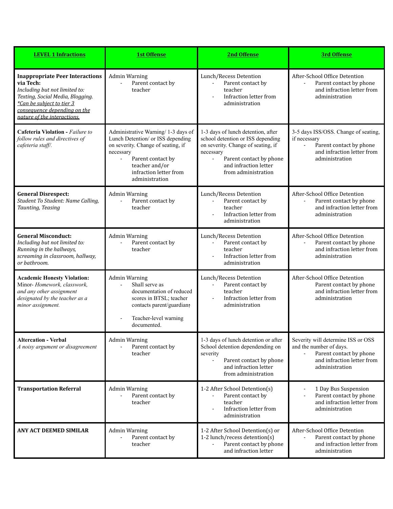| <b>LEVEL 1 Infractions</b>                                                                                                                                                                                           | <b>1st Offense</b>                                                                                                                                                                                                                         | 2nd Offense                                                                                                                                                                                                             | <b>3rd Offense</b>                                                                                                                                          |
|----------------------------------------------------------------------------------------------------------------------------------------------------------------------------------------------------------------------|--------------------------------------------------------------------------------------------------------------------------------------------------------------------------------------------------------------------------------------------|-------------------------------------------------------------------------------------------------------------------------------------------------------------------------------------------------------------------------|-------------------------------------------------------------------------------------------------------------------------------------------------------------|
| <b>Inappropriate Peer Interactions</b><br>via Tech:<br>Including but not limited to:<br>Texting, Social Media, Blogging.<br>*Can be subject to tier 3<br>consequence depending on the<br>nature of the interactions. | <b>Admin Warning</b><br>Parent contact by<br>÷,<br>teacher                                                                                                                                                                                 | Lunch/Recess Detention<br>Parent contact by<br>$\blacksquare$<br>teacher<br>Infraction letter from<br>$\sim$<br>administration                                                                                          | After-School Office Detention<br>Parent contact by phone<br>$\blacksquare$<br>and infraction letter from<br>administration                                  |
| <b>Cafeteria Violation - Failure to</b><br>follow rules and directives of<br>cafeteria staff/.                                                                                                                       | Administrative Warning/ 1-3 days of<br>Lunch Detention/ or ISS depending<br>on severity. Change of seating, if<br>necessary<br>Parent contact by<br>$\overline{\phantom{a}}$<br>teacher and/or<br>infraction letter from<br>administration | 1-3 days of lunch detention, after<br>school detention or ISS depending<br>on severity. Change of seating, if<br>necessary<br>Parent contact by phone<br>$\blacksquare$<br>and infraction letter<br>from administration | 3-5 days ISS/OSS. Change of seating,<br>if necessary<br>Parent contact by phone<br>$\overline{\phantom{a}}$<br>and infraction letter from<br>administration |
| <b>General Disrespect:</b><br>Student To Student: Name Calling,<br>Taunting, Teasing                                                                                                                                 | <b>Admin Warning</b><br>Parent contact by<br>$\overline{a}$<br>teacher                                                                                                                                                                     | Lunch/Recess Detention<br>Parent contact by<br>teacher<br>Infraction letter from<br>administration                                                                                                                      | After-School Office Detention<br>Parent contact by phone<br>and infraction letter from<br>administration                                                    |
| <b>General Misconduct:</b><br>Including but not limited to:<br>Running in the hallways,<br>screaming in classroom, hallway,<br>or bathroom.                                                                          | <b>Admin Warning</b><br>Parent contact by<br>teacher                                                                                                                                                                                       | Lunch/Recess Detention<br>Parent contact by<br>$\mathcal{L}^{\mathcal{L}}$<br>teacher<br>Infraction letter from<br>÷,<br>administration                                                                                 | After-School Office Detention<br>Parent contact by phone<br>and infraction letter from<br>administration                                                    |
| <b>Academic Honesty Violation:</b><br>Minor-Homework, classwork,<br>and any other assignment<br>designated by the teacher as a<br>minor assignment.                                                                  | <b>Admin Warning</b><br>Shall serve as<br>$\overline{\phantom{0}}$<br>documentation of reduced<br>scores in BTSL; teacher<br>contacts parent/guardian;<br>Teacher-level warning<br>documented.                                             | Lunch/Recess Detention<br>Parent contact by<br>$\blacksquare$<br>teacher<br>Infraction letter from<br>$\blacksquare$<br>administration                                                                                  | After-School Office Detention<br>Parent contact by phone<br>and infraction letter from<br>administration                                                    |
| <b>Altercation - Verbal</b><br>A noisy argument or disagreement                                                                                                                                                      | <b>Admin Warning</b><br>Parent contact by<br>teacher                                                                                                                                                                                       | 1-3 days of lunch detention or after<br>School detention dependending on<br>severity<br>Parent contact by phone<br>$\frac{1}{2}$<br>and infraction letter<br>from administration                                        | Severity will determine ISS or OSS<br>and the number of days.<br>Parent contact by phone<br>and infraction letter from<br>administration                    |
| <b>Transportation Referral</b>                                                                                                                                                                                       | <b>Admin Warning</b><br>Parent contact by<br>$\overline{a}$<br>teacher                                                                                                                                                                     | 1-2 After School Detention(s)<br>Parent contact by<br>$\overline{\phantom{a}}$<br>teacher<br>Infraction letter from<br>administration                                                                                   | 1 Day Bus Suspension<br>Parent contact by phone<br>$\overline{a}$<br>and infraction letter from<br>administration                                           |
| ANY ACT DEEMED SIMILAR                                                                                                                                                                                               | <b>Admin Warning</b><br>Parent contact by<br>teacher                                                                                                                                                                                       | 1-2 After School Detention(s) or<br>1-2 lunch/recess detention(s)<br>Parent contact by phone<br>and infraction letter                                                                                                   | After-School Office Detention<br>Parent contact by phone<br>and infraction letter from<br>administration                                                    |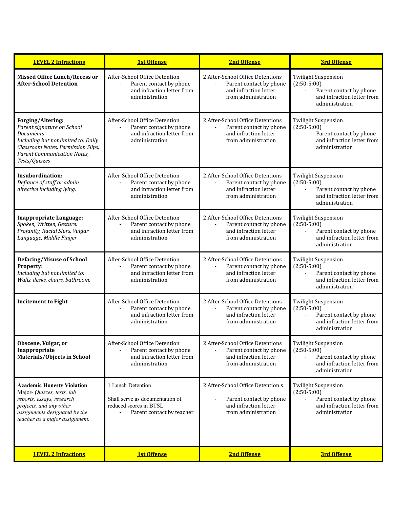| <b>LEVEL 2 Infractions</b>                                                                                                                                                                              | <b>1st Offense</b>                                                                                                                   | <b>2nd Offense</b>                                                                                                            | <b>3rd Offense</b>                                                                                                                                 |
|---------------------------------------------------------------------------------------------------------------------------------------------------------------------------------------------------------|--------------------------------------------------------------------------------------------------------------------------------------|-------------------------------------------------------------------------------------------------------------------------------|----------------------------------------------------------------------------------------------------------------------------------------------------|
| <b>Missed Office Lunch/Recess or</b><br><b>After-School Detention</b>                                                                                                                                   | After-School Office Detention<br>Parent contact by phone<br>and infraction letter from<br>administration                             | 2 After-School Office Detentions<br>Parent contact by phone<br>and infraction letter<br>from administration                   | <b>Twilight Suspension</b><br>$(2:50-5:00)$<br>Parent contact by phone<br>$\overline{a}$<br>and infraction letter from<br>administration           |
| Forging/Altering:<br>Parent signature on School<br><b>Documents</b><br>Including but not limited to: Daily<br>Classroom Notes, Permission Slips,<br><b>Parent Communication Notes,</b><br>Tests/Quizzes | After-School Office Detention<br>Parent contact by phone<br>and infraction letter from<br>administration                             | 2 After-School Office Detentions<br>Parent contact by phone<br>and infraction letter<br>from administration                   | <b>Twilight Suspension</b><br>$(2:50-5:00)$<br>Parent contact by phone<br>$\overline{\phantom{a}}$<br>and infraction letter from<br>administration |
| Insubordination:<br>Defiance of staff or admin<br>directive including lying.                                                                                                                            | After-School Office Detention<br>Parent contact by phone<br>$\overline{\phantom{a}}$<br>and infraction letter from<br>administration | 2 After-School Office Detentions<br>Parent contact by phone<br>$\blacksquare$<br>and infraction letter<br>from administration | <b>Twilight Suspension</b><br>$(2:50-5:00)$<br>Parent contact by phone<br>$\blacksquare$<br>and infraction letter from<br>administration           |
| <b>Inappropriate Language:</b><br>Spoken, Written, Gesture:<br>Profanity, Racial Slurs, Vulgar<br>Language, Middle Finger                                                                               | After-School Office Detention<br>Parent contact by phone<br>and infraction letter from<br>administration                             | 2 After-School Office Detentions<br>Parent contact by phone<br>and infraction letter<br>from administration                   | <b>Twilight Suspension</b><br>$(2:50-5:00)$<br>Parent contact by phone<br>and infraction letter from<br>administration                             |
| <b>Defacing/Misuse of School</b><br><b>Property:</b><br>Including but not limited to:<br>Walls, desks, chairs, bathroom.                                                                                | After-School Office Detention<br>Parent contact by phone<br>and infraction letter from<br>administration                             | 2 After-School Office Detentions<br>Parent contact by phone<br>$\blacksquare$<br>and infraction letter<br>from administration | <b>Twilight Suspension</b><br>$(2:50-5:00)$<br>Parent contact by phone<br>$\blacksquare$<br>and infraction letter from<br>administration           |
| <b>Incitement to Fight</b>                                                                                                                                                                              | After-School Office Detention<br>Parent contact by phone<br>and infraction letter from<br>administration                             | 2 After-School Office Detentions<br>Parent contact by phone<br>and infraction letter<br>from administration                   | <b>Twilight Suspension</b><br>$(2:50-5:00)$<br>Parent contact by phone<br>and infraction letter from<br>administration                             |
| Obscene, Vulgar, or<br>Inappropriate<br>Materials/Objects in School                                                                                                                                     | After-School Office Detention<br>Parent contact by phone<br>and infraction letter from<br>administration                             | 2 After-School Office Detentions<br>Parent contact by phone<br>and infraction letter<br>from administration                   | <b>Twilight Suspension</b><br>$(2:50-5:00)$<br>Parent contact by phone<br>and infraction letter from<br>administration                             |
| <b>Academic Honesty Violation</b><br>Major- Quizzes, tests, lab<br>reports, essays, research<br>projects, and any other<br>assignments designated by the<br>teacher as a major assignment.              | 1 Lunch Detention<br>Shall serve as documentation of<br>reduced scores in BTSL<br>Parent contact by teacher                          | 2 After-School Office Detention s<br>Parent contact by phone<br>and infraction letter<br>from administration                  | <b>Twilight Suspension</b><br>$(2:50-5:00)$<br>Parent contact by phone<br>and infraction letter from<br>administration                             |
| <b>LEVEL 2 Infractions</b>                                                                                                                                                                              | <b>1st Offense</b>                                                                                                                   | <b>2nd Offense</b>                                                                                                            | <b>3rd Offense</b>                                                                                                                                 |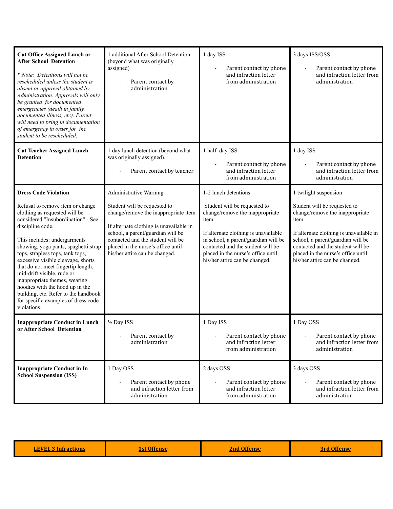| <b>Cut Office Assigned Lunch or</b><br><b>After School Detention</b><br>* Note: Detentions will not be<br>rescheduled unless the student is<br>absent or approval obtained by<br>Administration. Approvals will only<br>be granted for documented<br>emergencies (death in family,<br>documented illness, etc). Parent<br>will need to bring in documentation<br>of emergency in order for the<br>student to be rescheduled.                                                                                                                       | 1 additional After School Detention<br>(beyond what was originally<br>assigned)<br>Parent contact by<br>administration                                                                                                                                                                             | 1 day ISS<br>Parent contact by phone<br>and infraction letter<br>from administration                                                                                                                                                                                                         | 3 days ISS/OSS<br>Parent contact by phone<br>and infraction letter from<br>administration                                                                                                                                                                                                     |
|----------------------------------------------------------------------------------------------------------------------------------------------------------------------------------------------------------------------------------------------------------------------------------------------------------------------------------------------------------------------------------------------------------------------------------------------------------------------------------------------------------------------------------------------------|----------------------------------------------------------------------------------------------------------------------------------------------------------------------------------------------------------------------------------------------------------------------------------------------------|----------------------------------------------------------------------------------------------------------------------------------------------------------------------------------------------------------------------------------------------------------------------------------------------|-----------------------------------------------------------------------------------------------------------------------------------------------------------------------------------------------------------------------------------------------------------------------------------------------|
| <b>Cut Teacher Assigned Lunch</b><br><b>Detention</b>                                                                                                                                                                                                                                                                                                                                                                                                                                                                                              | 1 day lunch detention (beyond what<br>was originally assigned).<br>Parent contact by teacher                                                                                                                                                                                                       | 1 half day ISS<br>Parent contact by phone<br>and infraction letter<br>from administration                                                                                                                                                                                                    | 1 day ISS<br>Parent contact by phone<br>and infraction letter from<br>administration                                                                                                                                                                                                          |
| <b>Dress Code Violation</b><br>Refusal to remove item or change<br>clothing as requested will be<br>considered "Insubordination" - See<br>discipline code.<br>This includes: undergarments<br>showing, yoga pants, spaghetti strap<br>tops, strapless tops, tank tops,<br>excessive visible cleavage, shorts<br>that do not meet fingertip length,<br>mid-drift visible, rude or<br>inappropriate themes, wearing<br>hoodies with the hood up in the<br>building, etc. Refer to the handbook<br>for specific examples of dress code<br>violations. | <b>Administrative Warning</b><br>Student will be requested to<br>change/remove the inappropriate item<br>If alternate clothing is unavailable in<br>school, a parent/guardian will be<br>contacted and the student will be<br>placed in the nurse's office until<br>his/her attire can be changed. | 1-2 lunch detentions<br>Student will be requested to<br>change/remove the inappropriate<br>item<br>If alternate clothing is unavailable<br>in school, a parent/guardian will be<br>contacted and the student will be<br>placed in the nurse's office until<br>his/her attire can be changed. | 1 twilight suspension<br>Student will be requested to<br>change/remove the inappropriate<br>item<br>If alternate clothing is unavailable in<br>school, a parent/guardian will be<br>contacted and the student will be<br>placed in the nurse's office until<br>his/her attire can be changed. |
| <b>Inappropriate Conduct in Lunch</b><br>or After School Detention                                                                                                                                                                                                                                                                                                                                                                                                                                                                                 | 1/2 Day ISS<br>Parent contact by<br>administration                                                                                                                                                                                                                                                 | 1 Day ISS<br>Parent contact by phone<br>and infraction letter<br>from administration                                                                                                                                                                                                         | 1 Day OSS<br>Parent contact by phone<br>and infraction letter from<br>administration                                                                                                                                                                                                          |
| <b>Inappropriate Conduct in In</b><br><b>School Suspension (ISS)</b>                                                                                                                                                                                                                                                                                                                                                                                                                                                                               | 1 Day OSS<br>Parent contact by phone<br>and infraction letter from<br>administration                                                                                                                                                                                                               | 2 days OSS<br>Parent contact by phone<br>and infraction letter<br>from administration                                                                                                                                                                                                        | 3 days OSS<br>Parent contact by phone<br>and infraction letter from<br>administration                                                                                                                                                                                                         |

| <b>EVEI</b> |  |  |
|-------------|--|--|
|-------------|--|--|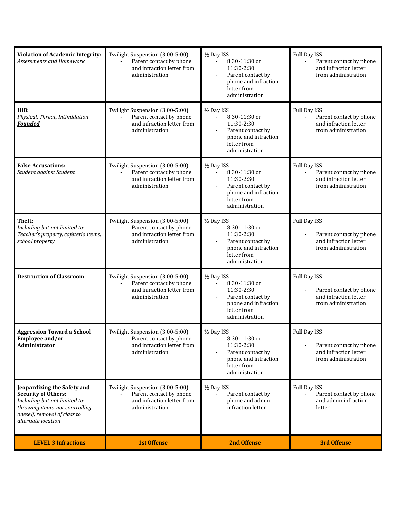| <b>Violation of Academic Integrity:</b><br>Assessments and Homework                                                                                                                 | Twilight Suspension (3:00-5:00)<br>Parent contact by phone<br>and infraction letter from<br>administration | 1/2 Day ISS<br>8:30-11:30 or<br>11:30-2:30<br>Parent contact by<br>$\blacksquare$<br>phone and infraction<br>letter from<br>administration           | Full Day ISS<br>Parent contact by phone<br>and infraction letter<br>from administration                   |
|-------------------------------------------------------------------------------------------------------------------------------------------------------------------------------------|------------------------------------------------------------------------------------------------------------|------------------------------------------------------------------------------------------------------------------------------------------------------|-----------------------------------------------------------------------------------------------------------|
| HIB:<br>Physical, Threat, Intimidation<br><b>Founded</b>                                                                                                                            | Twilight Suspension (3:00-5:00)<br>Parent contact by phone<br>and infraction letter from<br>administration | 1/2 Day ISS<br>8:30-11:30 or<br>$\blacksquare$<br>11:30-2:30<br>Parent contact by<br>phone and infraction<br>letter from<br>administration           | Full Day ISS<br>Parent contact by phone<br>$\overline{a}$<br>and infraction letter<br>from administration |
| <b>False Accusations:</b><br>Student against Student                                                                                                                                | Twilight Suspension (3:00-5:00)<br>Parent contact by phone<br>and infraction letter from<br>administration | 1/2 Day ISS<br>8:30-11:30 or<br>$\overline{a}$<br>11:30-2:30<br>Parent contact by<br>phone and infraction<br>letter from<br>administration           | Full Day ISS<br>Parent contact by phone<br>÷,<br>and infraction letter<br>from administration             |
| Theft:<br>Including but not limited to:<br>Teacher's property, cafeteria items,<br>school property                                                                                  | Twilight Suspension (3:00-5:00)<br>Parent contact by phone<br>and infraction letter from<br>administration | 1/2 Day ISS<br>8:30-11:30 or<br>$\overline{\phantom{a}}$<br>11:30-2:30<br>Parent contact by<br>phone and infraction<br>letter from<br>administration | Full Day ISS<br>Parent contact by phone<br>and infraction letter<br>from administration                   |
| <b>Destruction of Classroom</b>                                                                                                                                                     | Twilight Suspension (3:00-5:00)<br>Parent contact by phone<br>and infraction letter from<br>administration | 1/2 Day ISS<br>8:30-11:30 or<br>$\blacksquare$<br>11:30-2:30<br>Parent contact by<br>phone and infraction<br>letter from<br>administration           | Full Day ISS<br>Parent contact by phone<br>and infraction letter<br>from administration                   |
| <b>Aggression Toward a School</b><br>Employee and/or<br>Administrator                                                                                                               | Twilight Suspension (3:00-5:00)<br>Parent contact by phone<br>and infraction letter from<br>administration | 1/2 Day ISS<br>8:30-11:30 or<br>11:30-2:30<br>Parent contact by<br>phone and infraction<br>letter from<br>administration                             | Full Day ISS<br>Parent contact by phone<br>$\overline{a}$<br>and infraction letter<br>from administration |
| Jeopardizing the Safety and<br><b>Security of Others:</b><br>Including but not limited to:<br>throwing items, not controlling<br>oneself, removal of class to<br>alternate location | Twilight Suspension (3:00-5:00)<br>Parent contact by phone<br>and infraction letter from<br>administration | 1/2 Day ISS<br>Parent contact by<br>phone and admin<br>infraction letter                                                                             | Full Day ISS<br>Parent contact by phone<br>and admin infraction<br>letter                                 |
| <b>LEVEL 3 Infractions</b>                                                                                                                                                          | <b>1st Offense</b>                                                                                         | <b>2nd Offense</b>                                                                                                                                   | <b>3rd Offense</b>                                                                                        |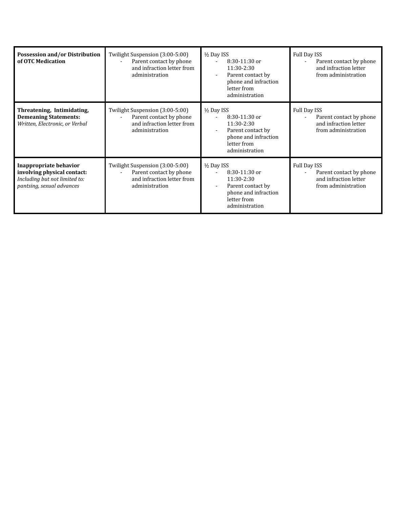| Possession and/or Distribution<br>of OTC Medication                                                                        | Twilight Suspension (3:00-5:00)<br>Parent contact by phone<br>and infraction letter from<br>administration | 1/2 Day ISS<br>8:30-11:30 or<br>11:30-2:30<br>Parent contact by<br>phone and infraction<br>letter from<br>administration | Full Day ISS<br>Parent contact by phone<br>and infraction letter<br>from administration           |
|----------------------------------------------------------------------------------------------------------------------------|------------------------------------------------------------------------------------------------------------|--------------------------------------------------------------------------------------------------------------------------|---------------------------------------------------------------------------------------------------|
| Threatening, Intimidating,<br><b>Demeaning Statements:</b><br>Written, Electronic, or Verbal                               | Twilight Suspension (3:00-5:00)<br>Parent contact by phone<br>and infraction letter from<br>administration | 1/2 Day ISS<br>8:30-11:30 or<br>11:30-2:30<br>Parent contact by<br>phone and infraction<br>letter from<br>administration | Full Day ISS<br>Parent contact by phone<br>$\sim$<br>and infraction letter<br>from administration |
| <b>Inappropriate behavior</b><br>involving physical contact:<br>Including but not limited to:<br>pantsing, sexual advances | Twilight Suspension (3:00-5:00)<br>Parent contact by phone<br>and infraction letter from<br>administration | 1/2 Day ISS<br>8:30-11:30 or<br>11:30-2:30<br>Parent contact by<br>phone and infraction<br>letter from<br>administration | Full Day ISS<br>Parent contact by phone<br>and infraction letter<br>from administration           |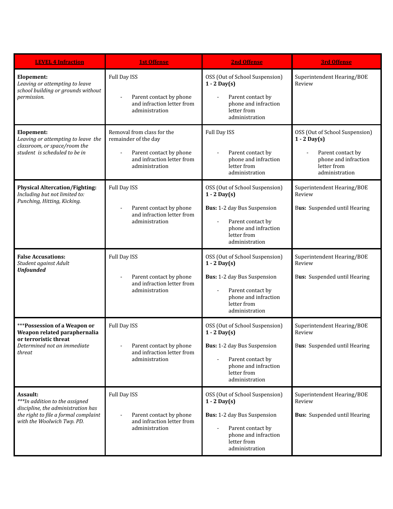| <b>LEVEL 4 Infraction</b>                                                                                                                              | <b>1st Offense</b>                                                                                                            | <b>2nd Offense</b>                                                                                                                                                                        | <b>3rd Offense</b>                                                                                                             |
|--------------------------------------------------------------------------------------------------------------------------------------------------------|-------------------------------------------------------------------------------------------------------------------------------|-------------------------------------------------------------------------------------------------------------------------------------------------------------------------------------------|--------------------------------------------------------------------------------------------------------------------------------|
| Elopement:<br>Leaving or attempting to leave<br>school building or grounds without<br>permission.                                                      | Full Day ISS<br>Parent contact by phone<br>and infraction letter from<br>administration                                       | OSS (Out of School Suspension)<br>$1 - 2$ Day(s)<br>Parent contact by<br>phone and infraction<br>letter from<br>administration                                                            | Superintendent Hearing/BOE<br>Review                                                                                           |
| Elopement:<br>Leaving or attempting to leave the<br>classroom, or space/room the<br>student is scheduled to be in                                      | Removal from class for the<br>remainder of the day<br>Parent contact by phone<br>and infraction letter from<br>administration | Full Day ISS<br>Parent contact by<br>phone and infraction<br>letter from<br>administration                                                                                                | OSS (Out of School Suspension)<br>$1 - 2$ Day(s)<br>Parent contact by<br>phone and infraction<br>letter from<br>administration |
| <b>Physical Altercation/Fighting:</b><br>Including but not limited to:<br>Punching, Hitting, Kicking.                                                  | Full Day ISS<br>Parent contact by phone<br>and infraction letter from<br>administration                                       | OSS (Out of School Suspension)<br>$1 - 2$ Day(s)<br>Bus: 1-2 day Bus Suspension<br>Parent contact by<br>$\overline{\phantom{a}}$<br>phone and infraction<br>letter from<br>administration | Superintendent Hearing/BOE<br>Review<br>Bus: Suspended until Hearing                                                           |
| <b>False Accusations:</b><br>Student against Adult<br><b>Unfounded</b>                                                                                 | Full Day ISS<br>Parent contact by phone<br>and infraction letter from<br>administration                                       | OSS (Out of School Suspension)<br>$1 - 2$ Day(s)<br>Bus: 1-2 day Bus Suspension<br>Parent contact by<br>$\blacksquare$<br>phone and infraction<br>letter from<br>administration           | Superintendent Hearing/BOE<br>Review<br>Bus: Suspended until Hearing                                                           |
| ***Possession of a Weapon or<br>Weapon related paraphernalia<br>or terroristic threat<br>Determined not an immediate<br>threat                         | Full Day ISS<br>Parent contact by phone<br>and infraction letter from<br>administration                                       | OSS (Out of School Suspension)<br>$1 - 2$ Day(s)<br><b>Bus:</b> 1-2 day Bus Suspension<br>Parent contact by<br>phone and infraction<br>letter from<br>administration                      | Superintendent Hearing/BOE<br>Review<br>Bus: Suspended until Hearing                                                           |
| Assault:<br>***In addition to the assigned<br>discipline, the administration has<br>the right to file a formal complaint<br>with the Woolwich Twp. PD. | Full Day ISS<br>Parent contact by phone<br>and infraction letter from<br>administration                                       | OSS (Out of School Suspension)<br>$1 - 2$ Day(s)<br>Bus: 1-2 day Bus Suspension<br>Parent contact by<br>phone and infraction<br>letter from<br>administration                             | Superintendent Hearing/BOE<br>Review<br><b>Bus:</b> Suspended until Hearing                                                    |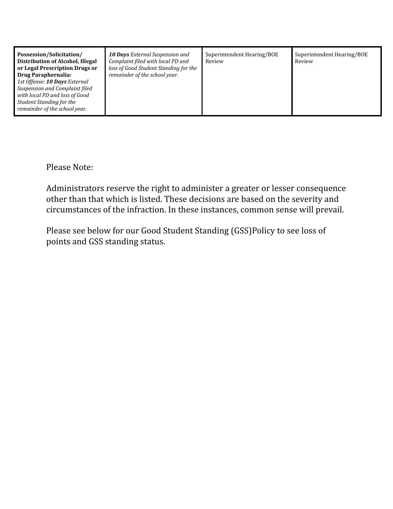| Possession/Solicitation/<br>10 Days External Suspension and<br>Distribution of Alcohol, Illegal<br>Complaint filed with local PD and<br>loss of Good Student Standing for the<br>or Legal Prescription Drugs or<br>remainder of the school year.<br>Drug Paraphernalia:<br>1st Offense: 10 Days External<br>Suspension and Complaint filed<br>with local PD and loss of Good<br>Student Standing for the<br>remainder of the school year. | Superintendent Hearing/BOE<br>Review | Superintendent Hearing/BOE<br>Review |
|-------------------------------------------------------------------------------------------------------------------------------------------------------------------------------------------------------------------------------------------------------------------------------------------------------------------------------------------------------------------------------------------------------------------------------------------|--------------------------------------|--------------------------------------|
|-------------------------------------------------------------------------------------------------------------------------------------------------------------------------------------------------------------------------------------------------------------------------------------------------------------------------------------------------------------------------------------------------------------------------------------------|--------------------------------------|--------------------------------------|

Please Note:

Administrators reserve the right to administer a greater or lesser consequence other than that which is listed. These decisions are based on the severity and circumstances of the infraction. In these instances, common sense will prevail.

Please see below for our Good Student Standing (GSS)Policy to see loss of points and GSS standing status.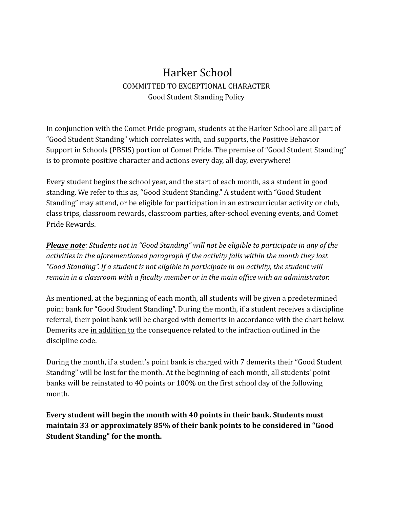# Harker School COMMITTED TO EXCEPTIONAL CHARACTER Good Student Standing Policy

In conjunction with the Comet Pride program, students at the Harker School are all part of "Good Student Standing" which correlates with, and supports, the Positive Behavior Support in Schools (PBSIS) portion of Comet Pride. The premise of "Good Student Standing" is to promote positive character and actions every day, all day, everywhere!

Every student begins the school year, and the start of each month, as a student in good standing. We refer to this as, "Good Student Standing." A student with "Good Student Standing" may attend, or be eligible for participation in an extracurricular activity or club, class trips, classroom rewards, classroom parties, after-school evening events, and Comet Pride Rewards.

*Please note: Students not in "Good Standing" will not be eligible to participate in any of the activities in the aforementioned paragraph if the activity falls within the month they lost "Good Standing". If a student is not eligible to participate in an activity, the student will remain in a classroom with a faculty member or in the main office with an administrator.*

As mentioned, at the beginning of each month, all students will be given a predetermined point bank for "Good Student Standing". During the month, if a student receives a discipline referral, their point bank will be charged with demerits in accordance with the chart below. Demerits are in addition to the consequence related to the infraction outlined in the discipline code.

During the month, if a student's point bank is charged with 7 demerits their "Good Student Standing" will be lost for the month. At the beginning of each month, all students' point banks will be reinstated to 40 points or 100% on the first school day of the following month.

**Every student will begin the month with 40 points in their bank. Students must maintain 33 or approximately 85% of their bank points to be considered in "Good Student Standing" for the month.**